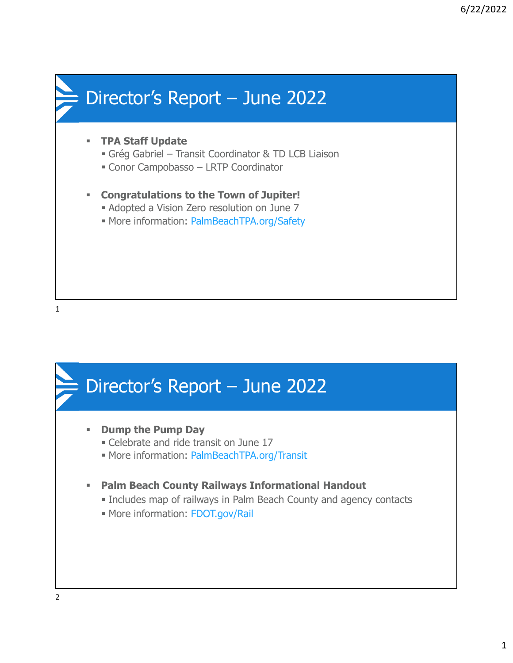



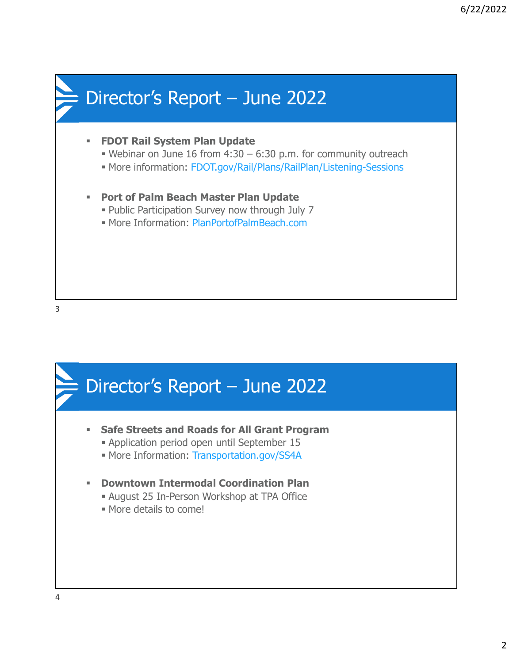